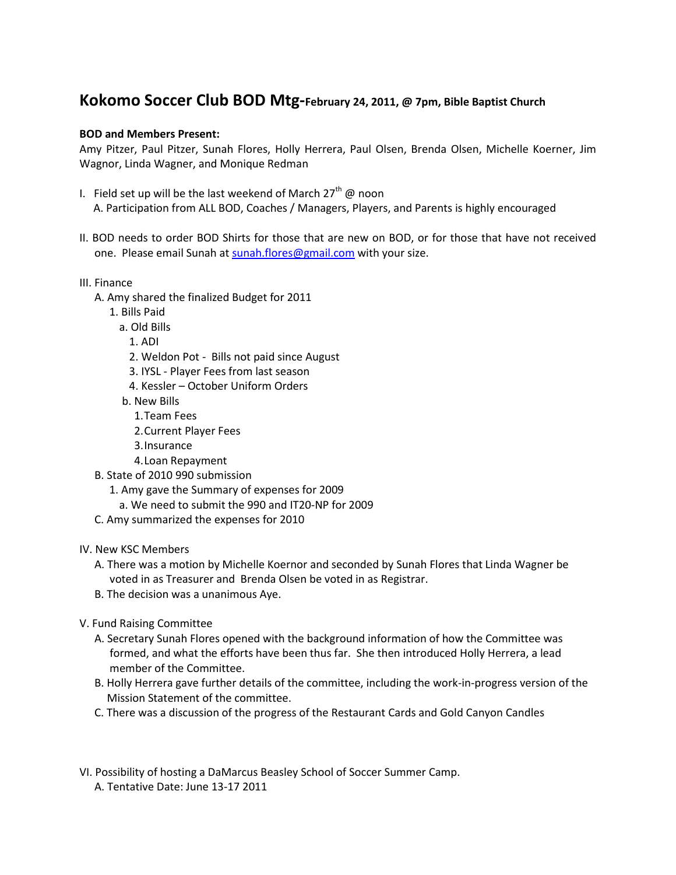## **Kokomo Soccer Club BOD Mtg-February 24, 2011, @ 7pm, Bible Baptist Church**

## **BOD and Members Present:**

Amy Pitzer, Paul Pitzer, Sunah Flores, Holly Herrera, Paul Olsen, Brenda Olsen, Michelle Koerner, Jim Wagnor, Linda Wagner, and Monique Redman

- I. Field set up will be the last weekend of March  $27<sup>th</sup>$  @ noon A. Participation from ALL BOD, Coaches / Managers, Players, and Parents is highly encouraged
- II. BOD needs to order BOD Shirts for those that are new on BOD, or for those that have not received one. Please email Sunah at [sunah.flores@gmail.com](mailto:sunah.flores@gmail.com) with your size.
- III. Finance
	- A. Amy shared the finalized Budget for 2011
		- 1. Bills Paid
			- a. Old Bills
			- 1. ADI
			- 2. Weldon Pot Bills not paid since August
			- 3. IYSL Player Fees from last season
			- 4. Kessler October Uniform Orders
			- b. New Bills
				- 1.Team Fees
				- 2.Current Player Fees
				- 3.Insurance
				- 4.Loan Repayment
	- B. State of 2010 990 submission
		- 1. Amy gave the Summary of expenses for 2009
			- a. We need to submit the 990 and IT20-NP for 2009
	- C. Amy summarized the expenses for 2010

## IV. New KSC Members

- A. There was a motion by Michelle Koernor and seconded by Sunah Flores that Linda Wagner be voted in as Treasurer and Brenda Olsen be voted in as Registrar.
- B. The decision was a unanimous Aye.
- V. Fund Raising Committee
	- A. Secretary Sunah Flores opened with the background information of how the Committee was formed, and what the efforts have been thus far. She then introduced Holly Herrera, a lead member of the Committee.
	- B. Holly Herrera gave further details of the committee, including the work-in-progress version of the Mission Statement of the committee.
	- C. There was a discussion of the progress of the Restaurant Cards and Gold Canyon Candles
- VI. Possibility of hosting a DaMarcus Beasley School of Soccer Summer Camp. A. Tentative Date: June 13-17 2011